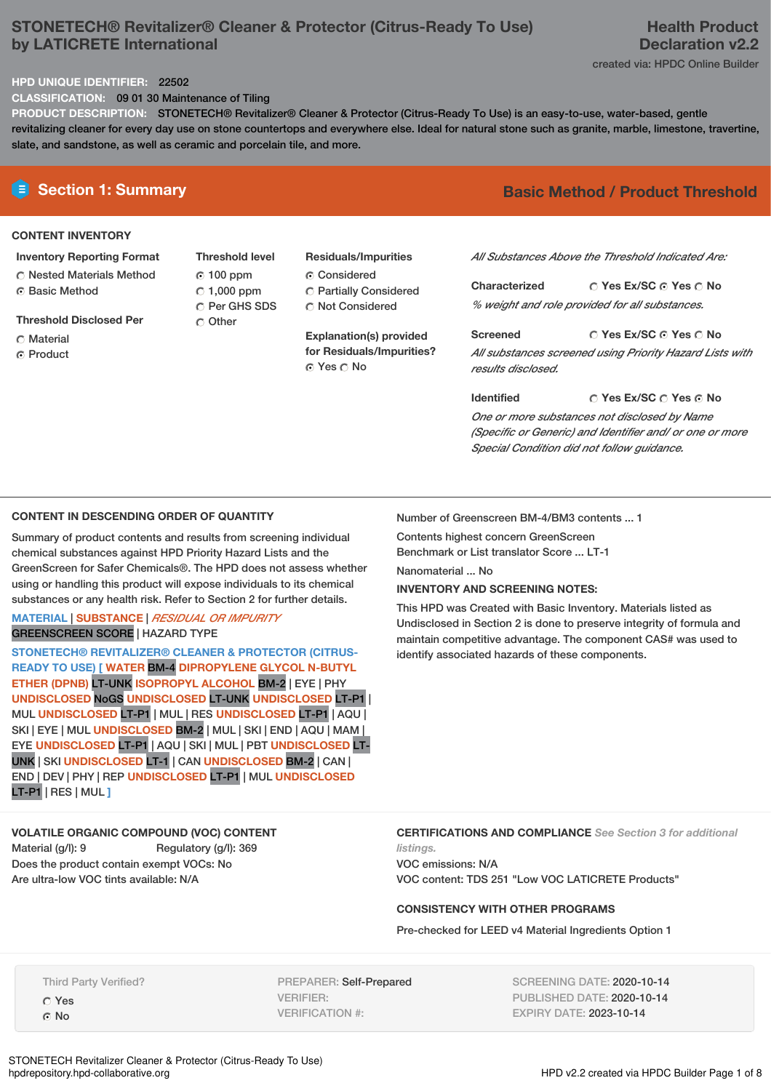# **STONETECH® Revitalizer® Cleaner & Protector (Citrus-Ready To Use) by LATICRETE International**

# created via: HPDC Online Builder

# **HPD UNIQUE IDENTIFIER:** 22502

**CLASSIFICATION:** 09 01 30 Maintenance of Tiling

**PRODUCT DESCRIPTION:** STONETECH® Revitalizer® Cleaner & Protector (Citrus-Ready To Use) is an easy-to-use, water-based, gentle revitalizing cleaner for every day use on stone countertops and everywhere else. Ideal for natural stone such as granite, marble, limestone, travertine, slate, and sandstone, as well as ceramic and porcelain tile, and more.

### **CONTENT INVENTORY**

#### **Inventory Reporting Format**

**C** Nested Materials Method ⊙ Basic Method

**Threshold Disclosed Per**

- C Material
- Product

**Threshold level** 100 ppm  $\degree$  1,000 ppm C Per GHS SDS Other

# **Residuals/Impurities** Considered

Partially Considered C Not Considered

**Explanation(s) provided for Residuals/Impurities?** © Yes ○ No

# **E** Section 1: Summary **Basic Method / Product Threshold**

*All Substances Above the Threshold Indicated Are:*

**Yes Ex/SC Yes No Characterized** *% weight and role provided for all substances.*

**Yes Ex/SC Yes No Screened** *All substances screened using Priority Hazard Lists with results disclosed.*

**Yes Ex/SC Yes No Identified** *One or more substances not disclosed by Name (Specific or Generic) and Identifier and/ or one or more Special Condition did not follow guidance.*

## **CONTENT IN DESCENDING ORDER OF QUANTITY**

Summary of product contents and results from screening individual chemical substances against HPD Priority Hazard Lists and the GreenScreen for Safer Chemicals®. The HPD does not assess whether using or handling this product will expose individuals to its chemical substances or any health risk. Refer to Section 2 for further details.

## **MATERIAL** | **SUBSTANCE** | *RESIDUAL OR IMPURITY* GREENSCREEN SCORE | HAZARD TYPE

**STONETECH® REVITALIZER® CLEANER & PROTECTOR (CITRUS-READY TO USE) [ WATER** BM-4 **DIPROPYLENE GLYCOL N-BUTYL ETHER (DPNB)** LT-UNK **ISOPROPYL ALCOHOL** BM-2 | EYE | PHY **UNDISCLOSED** NoGS **UNDISCLOSED** LT-UNK **UNDISCLOSED** LT-P1 | MUL **UNDISCLOSED** LT-P1 | MUL | RES **UNDISCLOSED** LT-P1 | AQU | SKI | EYE | MUL **UNDISCLOSED** BM-2 | MUL | SKI | END | AQU | MAM | EYE **UNDISCLOSED** LT-P1 | AQU | SKI | MUL | PBT **UNDISCLOSED** LT-UNK | SKI **UNDISCLOSED** LT-1 | CAN **UNDISCLOSED** BM-2 | CAN | END | DEV | PHY | REP **UNDISCLOSED** LT-P1 | MUL **UNDISCLOSED** LT-P1 | RES | MUL **]**

# **VOLATILE ORGANIC COMPOUND (VOC) CONTENT**

Material (g/l): 9 Regulatory (g/l): 369 Does the product contain exempt VOCs: No Are ultra-low VOC tints available: N/A

Number of Greenscreen BM-4/BM3 contents ... 1

Contents highest concern GreenScreen Benchmark or List translator Score ... LT-1

Nanomaterial ... No

**INVENTORY AND SCREENING NOTES:**

This HPD was Created with Basic Inventory. Materials listed as Undisclosed in Section 2 is done to preserve integrity of formula and maintain competitive advantage. The component CAS# was used to identify associated hazards of these components.

**CERTIFICATIONS AND COMPLIANCE** *See Section 3 for additional*

*listings.* VOC emissions: N/A VOC content: TDS 251 "Low VOC LATICRETE Products"

#### **CONSISTENCY WITH OTHER PROGRAMS**

Pre-checked for LEED v4 Material Ingredients Option 1

Third Party Verified? Yes No

PREPARER: Self-Prepared VERIFIER: VERIFICATION #:

SCREENING DATE: 2020-10-14 PUBLISHED DATE: 2020-10-14 EXPIRY DATE: 2023-10-14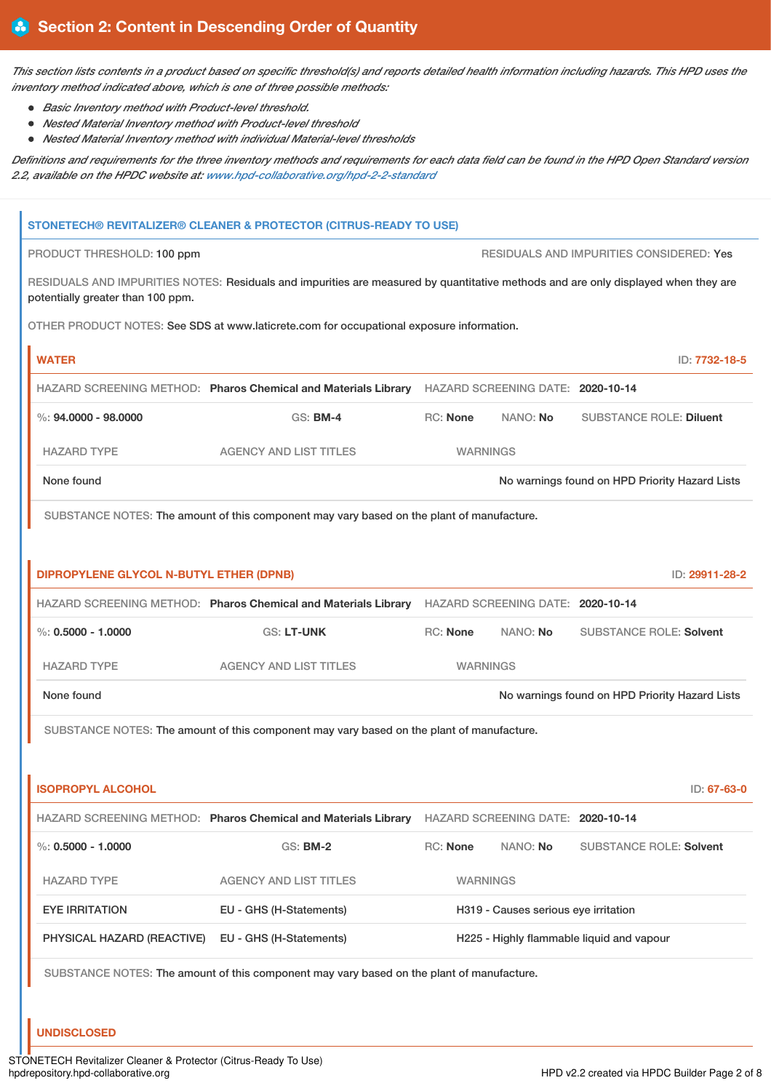This section lists contents in a product based on specific threshold(s) and reports detailed health information including hazards. This HPD uses the *inventory method indicated above, which is one of three possible methods:*

- *Basic Inventory method with Product-level threshold.*
- *Nested Material Inventory method with Product-level threshold*
- *Nested Material Inventory method with individual Material-level thresholds*

Definitions and requirements for the three inventory methods and requirements for each data field can be found in the HPD Open Standard version *2.2, available on the HPDC website at: [www.hpd-collaborative.org/hpd-2-2-standard](https://www.hpd-collaborative.org/hpd-2-2-standard)*

|                                                                                                                                                                         | <b>STONETECH® REVITALIZER® CLEANER &amp; PROTECTOR (CITRUS-READY TO USE)</b>                     |                                                                                                  |                                      |                                                |  |
|-------------------------------------------------------------------------------------------------------------------------------------------------------------------------|--------------------------------------------------------------------------------------------------|--------------------------------------------------------------------------------------------------|--------------------------------------|------------------------------------------------|--|
| RESIDUALS AND IMPURITIES CONSIDERED: Yes<br>PRODUCT THRESHOLD: 100 ppm                                                                                                  |                                                                                                  |                                                                                                  |                                      |                                                |  |
| RESIDUALS AND IMPURITIES NOTES: Residuals and impurities are measured by quantitative methods and are only displayed when they are<br>potentially greater than 100 ppm. |                                                                                                  |                                                                                                  |                                      |                                                |  |
|                                                                                                                                                                         | OTHER PRODUCT NOTES: See SDS at www.laticrete.com for occupational exposure information.         |                                                                                                  |                                      |                                                |  |
| <b>WATER</b>                                                                                                                                                            |                                                                                                  |                                                                                                  |                                      | ID: 7732-18-5                                  |  |
|                                                                                                                                                                         | HAZARD SCREENING METHOD: Pharos Chemical and Materials Library HAZARD SCREENING DATE: 2020-10-14 |                                                                                                  |                                      |                                                |  |
| $\%$ : 94.0000 - 98.0000                                                                                                                                                | <b>GS: BM-4</b>                                                                                  | <b>RC: None</b>                                                                                  | NANO: No                             | <b>SUBSTANCE ROLE: Diluent</b>                 |  |
| <b>HAZARD TYPE</b>                                                                                                                                                      | <b>AGENCY AND LIST TITLES</b>                                                                    | <b>WARNINGS</b>                                                                                  |                                      |                                                |  |
| None found                                                                                                                                                              |                                                                                                  |                                                                                                  |                                      | No warnings found on HPD Priority Hazard Lists |  |
|                                                                                                                                                                         | SUBSTANCE NOTES: The amount of this component may vary based on the plant of manufacture.        |                                                                                                  |                                      |                                                |  |
|                                                                                                                                                                         |                                                                                                  |                                                                                                  |                                      |                                                |  |
| <b>DIPROPYLENE GLYCOL N-BUTYL ETHER (DPNB)</b>                                                                                                                          |                                                                                                  |                                                                                                  |                                      | ID: 29911-28-2                                 |  |
|                                                                                                                                                                         |                                                                                                  | HAZARD SCREENING METHOD: Pharos Chemical and Materials Library HAZARD SCREENING DATE: 2020-10-14 |                                      |                                                |  |
| $\%: 0.5000 - 1.0000$                                                                                                                                                   | <b>GS: LT-UNK</b>                                                                                | RC: None                                                                                         | NANO: No                             | <b>SUBSTANCE ROLE: Solvent</b>                 |  |
| <b>HAZARD TYPE</b>                                                                                                                                                      | <b>AGENCY AND LIST TITLES</b>                                                                    | <b>WARNINGS</b>                                                                                  |                                      |                                                |  |
| None found                                                                                                                                                              |                                                                                                  |                                                                                                  |                                      | No warnings found on HPD Priority Hazard Lists |  |
|                                                                                                                                                                         | SUBSTANCE NOTES: The amount of this component may vary based on the plant of manufacture.        |                                                                                                  |                                      |                                                |  |
|                                                                                                                                                                         |                                                                                                  |                                                                                                  |                                      |                                                |  |
| <b>ISOPROPYL ALCOHOL</b>                                                                                                                                                |                                                                                                  |                                                                                                  |                                      | ID: 67-63-0                                    |  |
|                                                                                                                                                                         | HAZARD SCREENING METHOD: Pharos Chemical and Materials Library HAZARD SCREENING DATE: 2020-10-14 |                                                                                                  |                                      |                                                |  |
| %: $0.5000 - 1.0000$                                                                                                                                                    | GS: BM-2                                                                                         | RC: None                                                                                         | NANO: No                             | <b>SUBSTANCE ROLE: Solvent</b>                 |  |
| <b>HAZARD TYPE</b>                                                                                                                                                      | <b>AGENCY AND LIST TITLES</b>                                                                    | <b>WARNINGS</b>                                                                                  |                                      |                                                |  |
| <b>EYE IRRITATION</b>                                                                                                                                                   | EU - GHS (H-Statements)                                                                          |                                                                                                  | H319 - Causes serious eye irritation |                                                |  |
| PHYSICAL HAZARD (REACTIVE)                                                                                                                                              | EU - GHS (H-Statements)                                                                          |                                                                                                  |                                      | H225 - Highly flammable liquid and vapour      |  |
|                                                                                                                                                                         | SUBSTANCE NOTES: The amount of this component may vary based on the plant of manufacture.        |                                                                                                  |                                      |                                                |  |
|                                                                                                                                                                         |                                                                                                  |                                                                                                  |                                      |                                                |  |

**UNDISCLOSED**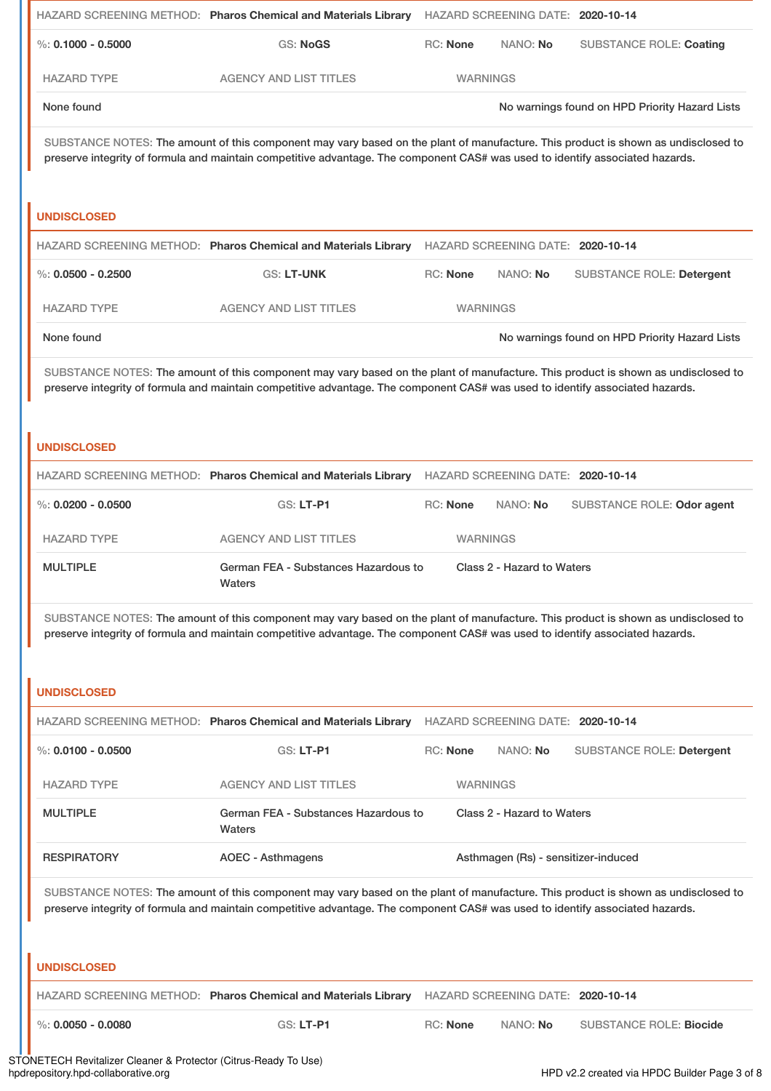|                        | HAZARD SCREENING METHOD: Pharos Chemical and Materials Library                                                                                                                                                                                                     |                 | HAZARD SCREENING DATE: 2020-10-14   |                                                |
|------------------------|--------------------------------------------------------------------------------------------------------------------------------------------------------------------------------------------------------------------------------------------------------------------|-----------------|-------------------------------------|------------------------------------------------|
| %: $0.1000 - 0.5000$   | <b>GS: NoGS</b>                                                                                                                                                                                                                                                    | <b>RC: None</b> | NANO: No                            | <b>SUBSTANCE ROLE: Coating</b>                 |
| <b>HAZARD TYPE</b>     | <b>AGENCY AND LIST TITLES</b>                                                                                                                                                                                                                                      | <b>WARNINGS</b> |                                     |                                                |
| None found             |                                                                                                                                                                                                                                                                    |                 |                                     | No warnings found on HPD Priority Hazard Lists |
| <b>UNDISCLOSED</b>     | SUBSTANCE NOTES: The amount of this component may vary based on the plant of manufacture. This product is shown as undisclosed to<br>preserve integrity of formula and maintain competitive advantage. The component CAS# was used to identify associated hazards. |                 |                                     |                                                |
|                        | HAZARD SCREENING METHOD: Pharos Chemical and Materials Library                                                                                                                                                                                                     |                 | HAZARD SCREENING DATE: 2020-10-14   |                                                |
| %: $0.0500 - 0.2500$   | <b>GS: LT-UNK</b>                                                                                                                                                                                                                                                  | <b>RC: None</b> | NANO: No                            | <b>SUBSTANCE ROLE: Detergent</b>               |
| <b>HAZARD TYPE</b>     | <b>AGENCY AND LIST TITLES</b>                                                                                                                                                                                                                                      | <b>WARNINGS</b> |                                     |                                                |
| None found             |                                                                                                                                                                                                                                                                    |                 |                                     | No warnings found on HPD Priority Hazard Lists |
|                        | SUBSTANCE NOTES: The amount of this component may vary based on the plant of manufacture. This product is shown as undisclosed to<br>preserve integrity of formula and maintain competitive advantage. The component CAS# was used to identify associated hazards. |                 |                                     |                                                |
| <b>UNDISCLOSED</b>     |                                                                                                                                                                                                                                                                    |                 |                                     |                                                |
|                        | HAZARD SCREENING METHOD: Pharos Chemical and Materials Library HAZARD SCREENING DATE: 2020-10-14                                                                                                                                                                   |                 |                                     |                                                |
| $\%$ : 0.0200 - 0.0500 | GS: LT-P1                                                                                                                                                                                                                                                          | <b>RC: None</b> | NANO: No                            | SUBSTANCE ROLE: Odor agent                     |
| <b>HAZARD TYPE</b>     | <b>AGENCY AND LIST TITLES</b>                                                                                                                                                                                                                                      | <b>WARNINGS</b> |                                     |                                                |
| <b>MULTIPLE</b>        | German FEA - Substances Hazardous to<br>Waters                                                                                                                                                                                                                     |                 | Class 2 - Hazard to Waters          |                                                |
|                        | SUBSTANCE NOTES: The amount of this component may vary based on the plant of manufacture. This product is shown as undisclosed to<br>preserve integrity of formula and maintain competitive advantage. The component CAS# was used to identify associated hazards. |                 |                                     |                                                |
| <b>UNDISCLOSED</b>     |                                                                                                                                                                                                                                                                    |                 |                                     |                                                |
|                        | HAZARD SCREENING METHOD: Pharos Chemical and Materials Library                                                                                                                                                                                                     |                 | HAZARD SCREENING DATE: 2020-10-14   |                                                |
| %: $0.0100 - 0.0500$   | <b>GS: LT-P1</b>                                                                                                                                                                                                                                                   | <b>RC: None</b> | NANO: No                            | SUBSTANCE ROLE: Detergent                      |
| <b>HAZARD TYPE</b>     | <b>AGENCY AND LIST TITLES</b>                                                                                                                                                                                                                                      | <b>WARNINGS</b> |                                     |                                                |
| <b>MULTIPLE</b>        | German FEA - Substances Hazardous to<br>Waters                                                                                                                                                                                                                     |                 | Class 2 - Hazard to Waters          |                                                |
| <b>RESPIRATORY</b>     | <b>AOEC - Asthmagens</b>                                                                                                                                                                                                                                           |                 | Asthmagen (Rs) - sensitizer-induced |                                                |
|                        | SUBSTANCE NOTES: The amount of this component may vary based on the plant of manufacture. This product is shown as undisclosed to<br>preserve integrity of formula and maintain competitive advantage. The component CAS# was used to identify associated hazards. |                 |                                     |                                                |
| <b>UNDISCLOSED</b>     |                                                                                                                                                                                                                                                                    |                 |                                     |                                                |
|                        | HAZARD SCREENING METHOD: Pharos Chemical and Materials Library                                                                                                                                                                                                     |                 | HAZARD SCREENING DATE: 2020-10-14   |                                                |
| $\%$ : 0.0050 - 0.0080 | GS: LT-P1                                                                                                                                                                                                                                                          | RC: None        | NANO: No                            | <b>SUBSTANCE ROLE: Biocide</b>                 |

STONETECH Revitalizer Cleaner & Protector (Citrus-Ready To Use) hpdrepository.hpd-collaborative.org HPD v2.2 created via HPDC Builder Page 3 of 8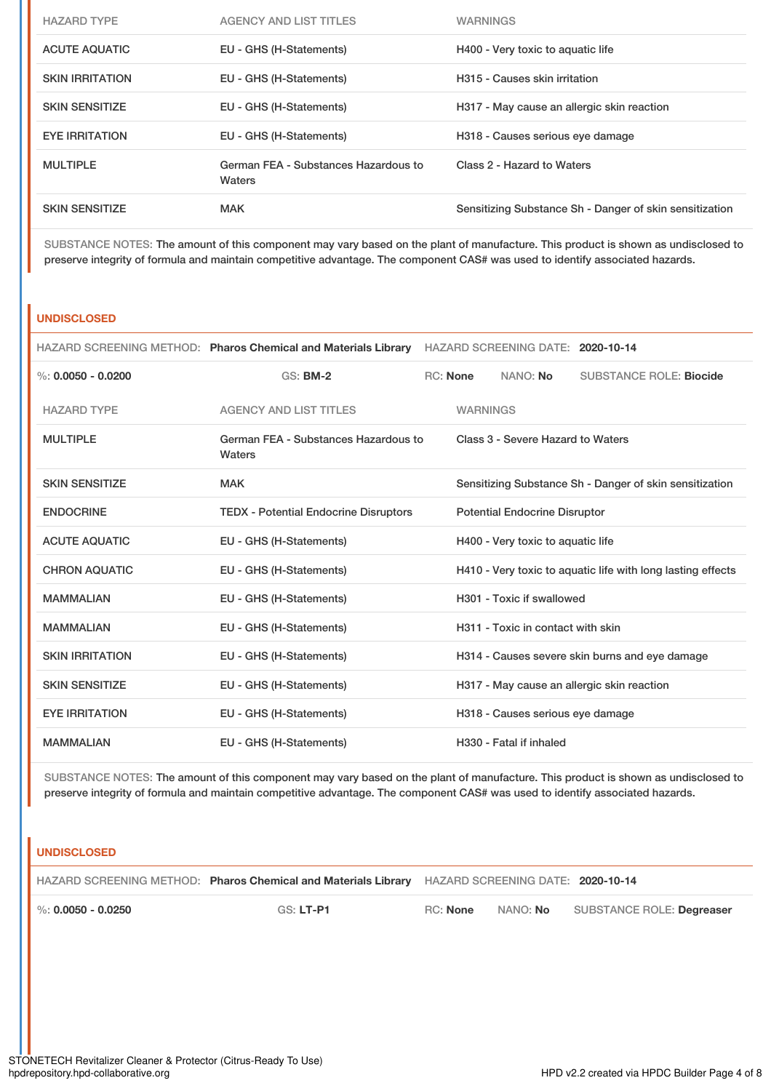| <b>HAZARD TYPE</b>     | <b>AGENCY AND LIST TITLES</b>                  | <b>WARNINGS</b>                                         |
|------------------------|------------------------------------------------|---------------------------------------------------------|
| <b>ACUTE AQUATIC</b>   | EU - GHS (H-Statements)                        | H400 - Very toxic to aquatic life                       |
| <b>SKIN IRRITATION</b> | EU - GHS (H-Statements)                        | H315 - Causes skin irritation                           |
| <b>SKIN SENSITIZE</b>  | EU - GHS (H-Statements)                        | H317 - May cause an allergic skin reaction              |
| <b>EYE IRRITATION</b>  | EU - GHS (H-Statements)                        | H318 - Causes serious eye damage                        |
| <b>MULTIPLE</b>        | German FEA - Substances Hazardous to<br>Waters | Class 2 - Hazard to Waters                              |
| <b>SKIN SENSITIZE</b>  | <b>MAK</b>                                     | Sensitizing Substance Sh - Danger of skin sensitization |

SUBSTANCE NOTES: The amount of this component may vary based on the plant of manufacture. This product is shown as undisclosed to preserve integrity of formula and maintain competitive advantage. The component CAS# was used to identify associated hazards.

# **UNDISCLOSED**

|                        | HAZARD SCREENING METHOD: Pharos Chemical and Materials Library HAZARD SCREENING DATE: 2020-10-14 |                                   |                 |                                      |                                                             |
|------------------------|--------------------------------------------------------------------------------------------------|-----------------------------------|-----------------|--------------------------------------|-------------------------------------------------------------|
| %: $0.0050 - 0.0200$   | <b>GS: BM-2</b>                                                                                  |                                   | <b>RC:</b> None | NANO: No                             | <b>SUBSTANCE ROLE: Biocide</b>                              |
| <b>HAZARD TYPE</b>     | <b>AGENCY AND LIST TITLES</b>                                                                    |                                   | <b>WARNINGS</b> |                                      |                                                             |
| <b>MULTIPLE</b>        | German FEA - Substances Hazardous to<br>Waters                                                   |                                   |                 | Class 3 - Severe Hazard to Waters    |                                                             |
| <b>SKIN SENSITIZE</b>  | <b>MAK</b>                                                                                       |                                   |                 |                                      | Sensitizing Substance Sh - Danger of skin sensitization     |
| <b>ENDOCRINE</b>       | <b>TEDX</b> - Potential Endocrine Disruptors                                                     |                                   |                 | <b>Potential Endocrine Disruptor</b> |                                                             |
| <b>ACUTE AQUATIC</b>   | EU - GHS (H-Statements)                                                                          | H400 - Very toxic to aquatic life |                 |                                      |                                                             |
| <b>CHRON AQUATIC</b>   | EU - GHS (H-Statements)                                                                          |                                   |                 |                                      | H410 - Very toxic to aquatic life with long lasting effects |
| <b>MAMMALIAN</b>       | EU - GHS (H-Statements)                                                                          |                                   |                 | H301 - Toxic if swallowed            |                                                             |
| <b>MAMMALIAN</b>       | EU - GHS (H-Statements)                                                                          |                                   |                 | H311 - Toxic in contact with skin    |                                                             |
| <b>SKIN IRRITATION</b> | EU - GHS (H-Statements)                                                                          |                                   |                 |                                      | H314 - Causes severe skin burns and eye damage              |
| <b>SKIN SENSITIZE</b>  | EU - GHS (H-Statements)                                                                          |                                   |                 |                                      | H317 - May cause an allergic skin reaction                  |
| <b>EYE IRRITATION</b>  | EU - GHS (H-Statements)                                                                          |                                   |                 | H318 - Causes serious eye damage     |                                                             |
| <b>MAMMALIAN</b>       | EU - GHS (H-Statements)                                                                          |                                   |                 | H330 - Fatal if inhaled              |                                                             |

SUBSTANCE NOTES: The amount of this component may vary based on the plant of manufacture. This product is shown as undisclosed to preserve integrity of formula and maintain competitive advantage. The component CAS# was used to identify associated hazards.

# **UNDISCLOSED**

|  | HAZARD SCREENING METHOD: Pharos Chemical and Materials Library HAZARD SCREENING DATE: 2020-10-14 |  |  |
|--|--------------------------------------------------------------------------------------------------|--|--|
|--|--------------------------------------------------------------------------------------------------|--|--|

%: **0.0050 - 0.0250** GS: **LT-P1** RC: **None** NANO: **No** SUBSTANCE ROLE: **Degreaser**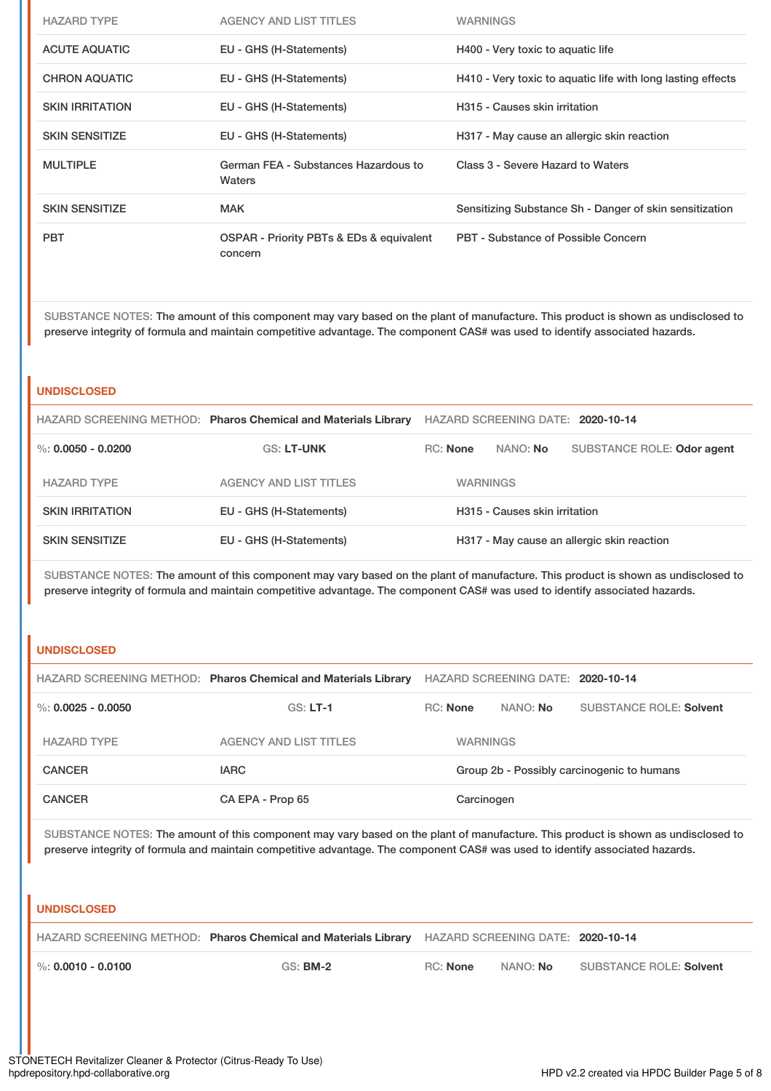| <b>HAZARD TYPE</b>     | AGENCY AND LIST TITLES                              | <b>WARNINGS</b>                                             |
|------------------------|-----------------------------------------------------|-------------------------------------------------------------|
| <b>ACUTE AQUATIC</b>   | EU - GHS (H-Statements)                             | H400 - Very toxic to aquatic life                           |
| <b>CHRON AQUATIC</b>   | EU - GHS (H-Statements)                             | H410 - Very toxic to aquatic life with long lasting effects |
| <b>SKIN IRRITATION</b> | EU - GHS (H-Statements)                             | H315 - Causes skin irritation                               |
| <b>SKIN SENSITIZE</b>  | EU - GHS (H-Statements)                             | H317 - May cause an allergic skin reaction                  |
| <b>MULTIPLE</b>        | German FEA - Substances Hazardous to<br>Waters      | Class 3 - Severe Hazard to Waters                           |
| <b>SKIN SENSITIZE</b>  | <b>MAK</b>                                          | Sensitizing Substance Sh - Danger of skin sensitization     |
| <b>PBT</b>             | OSPAR - Priority PBTs & EDs & equivalent<br>concern | PBT - Substance of Possible Concern                         |

SUBSTANCE NOTES: The amount of this component may vary based on the plant of manufacture. This product is shown as undisclosed to preserve integrity of formula and maintain competitive advantage. The component CAS# was used to identify associated hazards.

# **UNDISCLOSED**

|                        | HAZARD SCREENING METHOD: Pharos Chemical and Materials Library | HAZARD SCREENING DATE: 2020-10-14 |          |                                            |  |  |
|------------------------|----------------------------------------------------------------|-----------------------------------|----------|--------------------------------------------|--|--|
| %: $0.0050 - 0.0200$   | <b>GS: LT-UNK</b>                                              | <b>RC:</b> None                   | NANO: No | SUBSTANCE ROLE: Odor agent                 |  |  |
| <b>HAZARD TYPE</b>     | AGENCY AND LIST TITLES                                         | <b>WARNINGS</b>                   |          |                                            |  |  |
| <b>SKIN IRRITATION</b> | EU - GHS (H-Statements)                                        | H315 - Causes skin irritation     |          |                                            |  |  |
| <b>SKIN SENSITIZE</b>  | EU - GHS (H-Statements)                                        |                                   |          | H317 - May cause an allergic skin reaction |  |  |

SUBSTANCE NOTES: The amount of this component may vary based on the plant of manufacture. This product is shown as undisclosed to preserve integrity of formula and maintain competitive advantage. The component CAS# was used to identify associated hazards.

# **UNDISCLOSED**

|                        | HAZARD SCREENING METHOD: Pharos Chemical and Materials Library |                                            | HAZARD SCREENING DATE: 2020-10-14 |                                |
|------------------------|----------------------------------------------------------------|--------------------------------------------|-----------------------------------|--------------------------------|
| $\%$ : 0.0025 - 0.0050 | $GS: LT-1$                                                     | RC: None                                   | NANO: No                          | <b>SUBSTANCE ROLE: Solvent</b> |
| <b>HAZARD TYPE</b>     | AGENCY AND LIST TITLES                                         | <b>WARNINGS</b>                            |                                   |                                |
| <b>CANCER</b>          | <b>IARC</b>                                                    | Group 2b - Possibly carcinogenic to humans |                                   |                                |
| <b>CANCER</b>          | CA EPA - Prop 65                                               | Carcinogen                                 |                                   |                                |

SUBSTANCE NOTES: The amount of this component may vary based on the plant of manufacture. This product is shown as undisclosed to preserve integrity of formula and maintain competitive advantage. The component CAS# was used to identify associated hazards.

#### **UNDISCLOSED**

|                              | HAZARD SCREENING METHOD: Pharos Chemical and Materials Library HAZARD SCREENING DATE: 2020-10-14 |          |          |                         |
|------------------------------|--------------------------------------------------------------------------------------------------|----------|----------|-------------------------|
| $\,$ %: 0.0010 - 0.0100 $\,$ | $GS:$ BM-2                                                                                       | RC: None | NANO: No | SUBSTANCE ROLE: Solvent |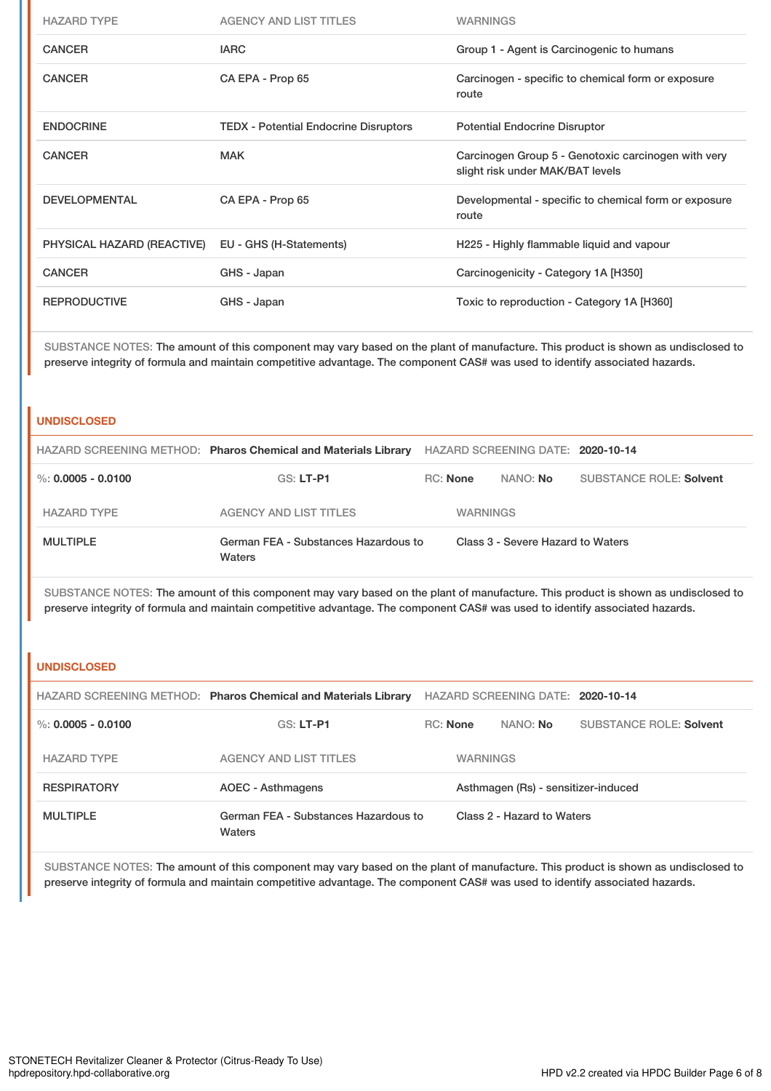| <b>HAZARD TYPE</b>         | <b>AGENCY AND LIST TITLES</b>                | <b>WARNINGS</b>                                                                         |
|----------------------------|----------------------------------------------|-----------------------------------------------------------------------------------------|
| <b>CANCER</b>              | <b>IARC</b>                                  | Group 1 - Agent is Carcinogenic to humans                                               |
| <b>CANCER</b>              | CA EPA - Prop 65                             | Carcinogen - specific to chemical form or exposure<br>route                             |
| <b>ENDOCRINE</b>           | <b>TEDX</b> - Potential Endocrine Disruptors | <b>Potential Endocrine Disruptor</b>                                                    |
| <b>CANCER</b>              | <b>MAK</b>                                   | Carcinogen Group 5 - Genotoxic carcinogen with very<br>slight risk under MAK/BAT levels |
| <b>DEVELOPMENTAL</b>       | CA EPA - Prop 65                             | Developmental - specific to chemical form or exposure<br>route                          |
| PHYSICAL HAZARD (REACTIVE) | EU - GHS (H-Statements)                      | H225 - Highly flammable liquid and vapour                                               |
| <b>CANCER</b>              | GHS - Japan                                  | Carcinogenicity - Category 1A [H350]                                                    |
| <b>REPRODUCTIVE</b>        | GHS - Japan                                  | Toxic to reproduction - Category 1A [H360]                                              |

SUBSTANCE NOTES: The amount of this component may vary based on the plant of manufacture. This product is shown as undisclosed to preserve integrity of formula and maintain competitive advantage. The component CAS# was used to identify associated hazards.

## **UNDISCLOSED**

|                    | HAZARD SCREENING METHOD: Pharos Chemical and Materials Library |                                   | HAZARD SCREENING DATE: 2020-10-14 |                         |
|--------------------|----------------------------------------------------------------|-----------------------------------|-----------------------------------|-------------------------|
| %: 0.0005 - 0.0100 | GS: LT-P1                                                      | RC: None<br>NANO: No              |                                   | SUBSTANCE ROLE: Solvent |
| <b>HAZARD TYPE</b> | AGENCY AND LIST TITLES                                         | <b>WARNINGS</b>                   |                                   |                         |
| <b>MULTIPLE</b>    | German FEA - Substances Hazardous to<br>Waters                 | Class 3 - Severe Hazard to Waters |                                   |                         |

SUBSTANCE NOTES: The amount of this component may vary based on the plant of manufacture. This product is shown as undisclosed to preserve integrity of formula and maintain competitive advantage. The component CAS# was used to identify associated hazards.

### **UNDISCLOSED**

|                      | HAZARD SCREENING METHOD: Pharos Chemical and Materials Library |                                     |                 | HAZARD SCREENING DATE: 2020-10-14 |                                |
|----------------------|----------------------------------------------------------------|-------------------------------------|-----------------|-----------------------------------|--------------------------------|
| %: $0.0005 - 0.0100$ | $GS: LT-PI$                                                    | RC: None                            |                 | NANO: No                          | <b>SUBSTANCE ROLE: Solvent</b> |
| <b>HAZARD TYPE</b>   | AGENCY AND LIST TITLES                                         |                                     | <b>WARNINGS</b> |                                   |                                |
| <b>RESPIRATORY</b>   | AOEC - Asthmagens                                              | Asthmagen (Rs) - sensitizer-induced |                 |                                   |                                |
| <b>MULTIPLE</b>      | German FEA - Substances Hazardous to<br>Waters                 |                                     |                 | Class 2 - Hazard to Waters        |                                |

SUBSTANCE NOTES: The amount of this component may vary based on the plant of manufacture. This product is shown as undisclosed to preserve integrity of formula and maintain competitive advantage. The component CAS# was used to identify associated hazards.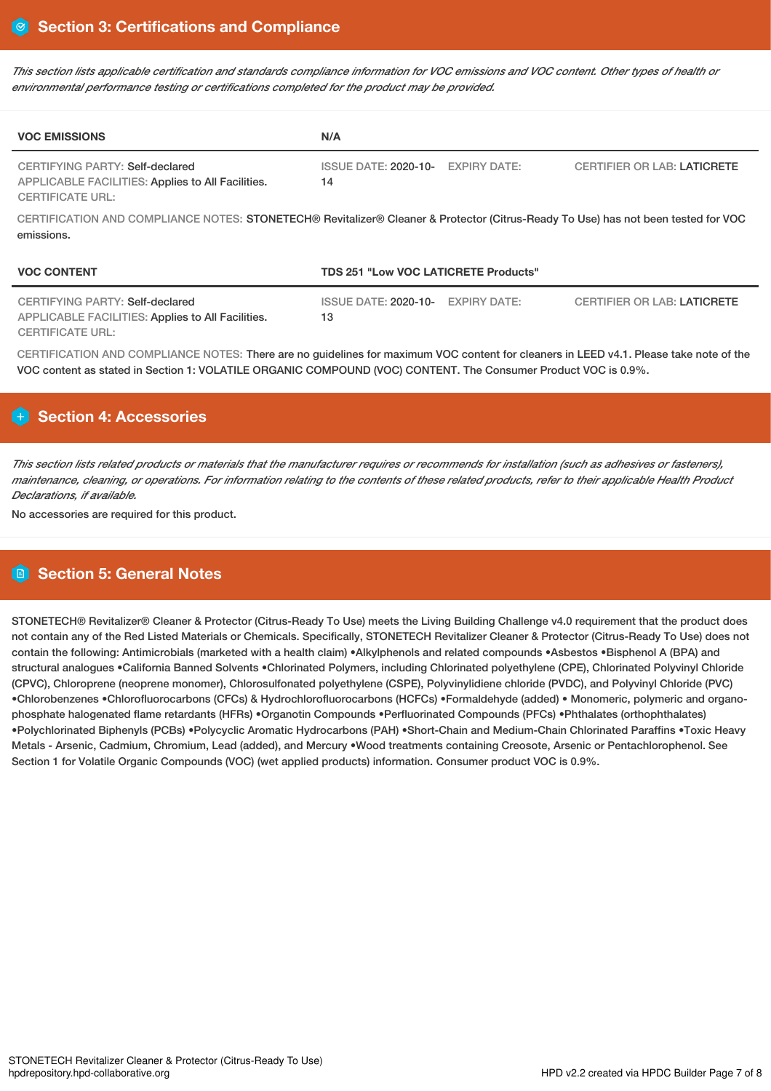This section lists applicable certification and standards compliance information for VOC emissions and VOC content. Other types of health or *environmental performance testing or certifications completed for the product may be provided.*

| <b>VOC EMISSIONS</b>                                                                                                                            | N/A                                         |                     |                                    |
|-------------------------------------------------------------------------------------------------------------------------------------------------|---------------------------------------------|---------------------|------------------------------------|
| CERTIFYING PARTY: Self-declared<br>APPLICABLE FACILITIES: Applies to All Facilities.<br><b>CERTIFICATE URL:</b>                                 | ISSUE DATE: 2020-10- EXPIRY DATE:<br>14     |                     | <b>CERTIFIER OR LAB: LATICRETE</b> |
| CERTIFICATION AND COMPLIANCE NOTES: STONETECH® Revitalizer® Cleaner & Protector (Citrus-Ready To Use) has not been tested for VOC<br>emissions. |                                             |                     |                                    |
| <b>VOC CONTENT</b>                                                                                                                              | <b>TDS 251 "Low VOC LATICRETE Products"</b> |                     |                                    |
| CERTIFYING PARTY: Self-declared                                                                                                                 | <b>ISSUE DATE: 2020-10-</b>                 | <b>EXPIRY DATE:</b> | <b>CERTIFIER OR LAB: LATICRETE</b> |

APPLICABLE FACILITIES: Applies to All Facilities. CERTIFICATE URL:

CERTIFICATION AND COMPLIANCE NOTES: There are no guidelines for maximum VOC content for cleaners in LEED v4.1. Please take note of the VOC content as stated in Section 1: VOLATILE ORGANIC COMPOUND (VOC) CONTENT. The Consumer Product VOC is 0.9%.

13

# **Section 4: Accessories**

This section lists related products or materials that the manufacturer requires or recommends for installation (such as adhesives or fasteners), maintenance, cleaning, or operations. For information relating to the contents of these related products, refer to their applicable Health Product *Declarations, if available.*

No accessories are required for this product.

# **Section 5: General Notes**

STONETECH® Revitalizer® Cleaner & Protector (Citrus-Ready To Use) meets the Living Building Challenge v4.0 requirement that the product does not contain any of the Red Listed Materials or Chemicals. Specifically, STONETECH Revitalizer Cleaner & Protector (Citrus-Ready To Use) does not contain the following: Antimicrobials (marketed with a health claim) •Alkylphenols and related compounds •Asbestos •Bisphenol A (BPA) and structural analogues •California Banned Solvents •Chlorinated Polymers, including Chlorinated polyethylene (CPE), Chlorinated Polyvinyl Chloride (CPVC), Chloroprene (neoprene monomer), Chlorosulfonated polyethylene (CSPE), Polyvinylidiene chloride (PVDC), and Polyvinyl Chloride (PVC) •Chlorobenzenes •Chlorofluorocarbons (CFCs) & Hydrochlorofluorocarbons (HCFCs) •Formaldehyde (added) • Monomeric, polymeric and organophosphate halogenated flame retardants (HFRs) •Organotin Compounds •Perfluorinated Compounds (PFCs) •Phthalates (orthophthalates) •Polychlorinated Biphenyls (PCBs) •Polycyclic Aromatic Hydrocarbons (PAH) •Short-Chain and Medium-Chain Chlorinated Paraffins •Toxic Heavy Metals - Arsenic, Cadmium, Chromium, Lead (added), and Mercury •Wood treatments containing Creosote, Arsenic or Pentachlorophenol. See Section 1 for Volatile Organic Compounds (VOC) (wet applied products) information. Consumer product VOC is 0.9%.